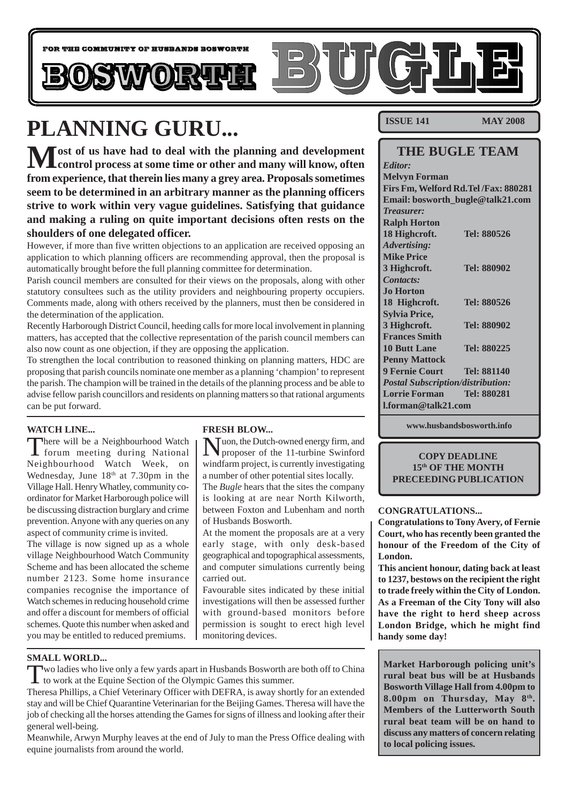

# **PLANNING GURU...**

 $\bf{M}$ ost of us have had to deal with the planning and development<br>
control process at some time or other and many will know, often **from experience, that therein lies many a grey area. Proposals sometimes seem to be determined in an arbitrary manner as the planning officers strive to work within very vague guidelines. Satisfying that guidance and making a ruling on quite important decisions often rests on the shoulders of one delegated officer.**

However, if more than five written objections to an application are received opposing an application to which planning officers are recommending approval, then the proposal is automatically brought before the full planning committee for determination.

Parish council members are consulted for their views on the proposals, along with other statutory consultees such as the utility providers and neighbouring property occupiers. Comments made, along with others received by the planners, must then be considered in the determination of the application.

Recently Harborough District Council, heeding calls for more local involvement in planning matters, has accepted that the collective representation of the parish council members can also now count as one objection, if they are opposing the application.

To strengthen the local contribution to reasoned thinking on planning matters, HDC are proposing that parish councils nominate one member as a planning 'champion' to represent the parish. The champion will be trained in the details of the planning process and be able to advise fellow parish councillors and residents on planning matters so that rational arguments can be put forward.

### **WATCH LINE...**

There will be a Neighbourhood Watch forum meeting during National Neighbourhood Watch Week, on Wednesday, June  $18<sup>th</sup>$  at 7.30pm in the Village Hall. Henry Whatley, community coordinator for Market Harborough police will be discussing distraction burglary and crime prevention. Anyone with any queries on any aspect of community crime is invited.

The village is now signed up as a whole village Neighbourhood Watch Community Scheme and has been allocated the scheme number 2123. Some home insurance companies recognise the importance of Watch schemes in reducing household crime and offer a discount for members of official schemes. Quote this number when asked and you may be entitled to reduced premiums.

### **FRESH BLOW...**

Nuon, the Dutch-owned energy firm, and proposer of the 11-turbine Swinford windfarm project, is currently investigating a number of other potential sites locally. The *Bugle* hears that the sites the company

is looking at are near North Kilworth, between Foxton and Lubenham and north of Husbands Bosworth.

At the moment the proposals are at a very early stage, with only desk-based geographical and topographical assessments, and computer simulations currently being carried out.

Favourable sites indicated by these initial investigations will then be assessed further with ground-based monitors before permission is sought to erect high level monitoring devices.

**SMALL WORLD...**

Two ladies who live only a few yards apart in Husbands Bosworth are both off to China to work at the Equine Section of the Olympic Games this summer.

Theresa Phillips, a Chief Veterinary Officer with DEFRA, is away shortly for an extended stay and will be Chief Quarantine Veterinarian for the Beijing Games. Theresa will have the job of checking all the horses attending the Games for signs of illness and looking after their general well-being.

Meanwhile, Arwyn Murphy leaves at the end of July to man the Press Office dealing with equine journalists from around the world.

**ISSUE 141 MAY 2008** 

### **THE BUGLE TEAM**

| <b>Editor:</b>                           |             |  |
|------------------------------------------|-------------|--|
| <b>Melvyn Forman</b>                     |             |  |
| Firs Fm, Welford Rd. Tel /Fax: 880281    |             |  |
| Email: bosworth_bugle@talk21.com         |             |  |
| <b>Treasurer:</b>                        |             |  |
| <b>Ralph Horton</b>                      |             |  |
| 18 Highcroft.                            | Tel: 880526 |  |
| <b>Advertising:</b>                      |             |  |
| <b>Mike Price</b>                        |             |  |
| 3 Highcroft.                             | Tel: 880902 |  |
| Contacts:                                |             |  |
| <b>Jo Horton</b>                         |             |  |
| 18 Highcroft.                            | Tel: 880526 |  |
| <b>Sylvia Price,</b>                     |             |  |
| 3 Highcroft.                             | Tel: 880902 |  |
| <b>Frances Smith</b>                     |             |  |
| <b>10 Butt Lane</b>                      | Tel: 880225 |  |
| <b>Penny Mattock</b>                     |             |  |
| <b>9 Fernie Court</b>                    | Tel: 881140 |  |
| <b>Postal Subscription/distribution:</b> |             |  |
| <b>Lorrie Forman</b>                     | Tel: 880281 |  |
| <b>Lforman@talk21.com</b>                |             |  |
|                                          |             |  |

**www.husbandsbosworth.info**

**COPY DEADLINE 15th OF THE MONTH PRECEEDING PUBLICATION**

### **CONGRATULATIONS...**

**Congratulations to Tony Avery, of Fernie Court, who has recently been granted the honour of the Freedom of the City of London.**

**This ancient honour, dating back at least to 1237, bestows on the recipient the right to trade freely within the City of London. As a Freeman of the City Tony will also have the right to herd sheep across London Bridge, which he might find handy some day!**

**Market Harborough policing unit's rural beat bus will be at Husbands Bosworth Village Hall from 4.00pm to 8.00pm on Thursday, May 8th. Members of the Lutterworth South rural beat team will be on hand to discuss any matters of concern relating to local policing issues.**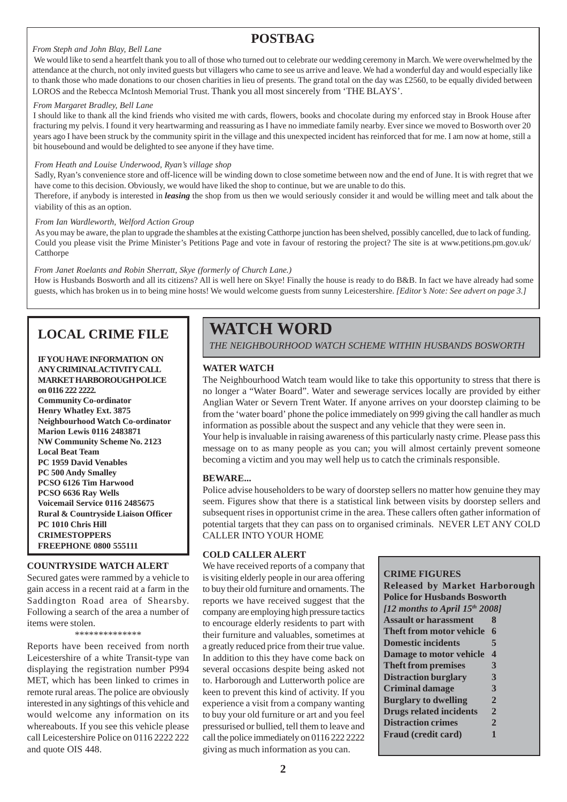## **POSTBAG**

### *From Steph and John Blay, Bell Lane*

 We would like to send a heartfelt thank you to all of those who turned out to celebrate our wedding ceremony in March. We were overwhelmed by the attendance at the church, not only invited guests but villagers who came to see us arrive and leave. We had a wonderful day and would especially like to thank those who made donations to our chosen charities in lieu of presents. The grand total on the day was £2560, to be equally divided between LOROS and the Rebecca McIntosh Memorial Trust. Thank you all most sincerely from 'THE BLAYS'.

### *From Margaret Bradley, Bell Lane*

I should like to thank all the kind friends who visited me with cards, flowers, books and chocolate during my enforced stay in Brook House after fracturing my pelvis. I found it very heartwarming and reassuring as I have no immediate family nearby. Ever since we moved to Bosworth over 20 years ago I have been struck by the community spirit in the village and this unexpected incident has reinforced that for me. I am now at home, still a bit housebound and would be delighted to see anyone if they have time.

### *From Heath and Louise Underwood, Ryan's village shop*

Sadly, Ryan's convenience store and off-licence will be winding down to close sometime between now and the end of June. It is with regret that we have come to this decision. Obviously, we would have liked the shop to continue, but we are unable to do this.

Therefore, if anybody is interested in *leasing* the shop from us then we would seriously consider it and would be willing meet and talk about the viability of this as an option.

### *From Ian Wardleworth, Welford Action Group*

As you may be aware, the plan to upgrade the shambles at the existing Catthorpe junction has been shelved, possibly cancelled, due to lack of funding. Could you please visit the Prime Minister's Petitions Page and vote in favour of restoring the project? The site is at www.petitions.pm.gov.uk/ **Catthorpe** 

### *From Janet Roelants and Robin Sherratt, Skye (formerly of Church Lane.)*

How is Husbands Bosworth and all its citizens? All is well here on Skye! Finally the house is ready to do B&B. In fact we have already had some guests, which has broken us in to being mine hosts! We would welcome guests from sunny Leicestershire. *[Editor's Note: See advert on page 3.]*

## **LOCAL CRIME FILE**

### **IF YOU HAVE INFORMATION ON ANY CRIMINALACTIVITY CALL MARKET HARBOROUGH POLICE on 0116 222 2222.**

**Community Co-ordinator Henry Whatley Ext. 3875 Neighbourhood Watch Co-ordinator Marion Lewis 0116 2483871 NW Community Scheme No. 2123 Local Beat Team PC 1959 David Venables PC 500 Andy Smalley PCSO 6126 Tim Harwood PCSO 6636 Ray Wells Voicemail Service 0116 2485675 Rural & Countryside Liaison Officer PC 1010 Chris Hill CRIMESTOPPERS FREEPHONE 0800 555111**

### **COUNTRYSIDE WATCH ALERT**

Secured gates were rammed by a vehicle to gain access in a recent raid at a farm in the Saddington Road area of Shearsby. Following a search of the area a number of items were stolen.

\*\*\*\*\*\*\*\*\*\*\*\*\*\*

Reports have been received from north Leicestershire of a white Transit-type van displaying the registration number P994 MET, which has been linked to crimes in remote rural areas. The police are obviously interested in any sightings of this vehicle and would welcome any information on its whereabouts. If you see this vehicle please call Leicestershire Police on 0116 2222 222 and quote OIS 448.

## **WATCH WORD**

*THE NEIGHBOURHOOD WATCH SCHEME WITHIN HUSBANDS BOSWORTH*

### **WATER WATCH**

The Neighbourhood Watch team would like to take this opportunity to stress that there is no longer a "Water Board". Water and sewerage services locally are provided by either Anglian Water or Severn Trent Water. If anyone arrives on your doorstep claiming to be from the 'water board' phone the police immediately on 999 giving the call handler as much information as possible about the suspect and any vehicle that they were seen in.

Your help is invaluable in raising awareness of this particularly nasty crime. Please pass this message on to as many people as you can; you will almost certainly prevent someone becoming a victim and you may well help us to catch the criminals responsible.

### **BEWARE...**

Police advise householders to be wary of doorstep sellers no matter how genuine they may seem. Figures show that there is a statistical link between visits by doorstep sellers and subsequent rises in opportunist crime in the area. These callers often gather information of potential targets that they can pass on to organised criminals. NEVER LET ANY COLD CALLER INTO YOUR HOME

### **COLD CALLER ALERT**

We have received reports of a company that is visiting elderly people in our area offering to buy their old furniture and ornaments. The reports we have received suggest that the company are employing high pressure tactics to encourage elderly residents to part with their furniture and valuables, sometimes at a greatly reduced price from their true value. In addition to this they have come back on several occasions despite being asked not to. Harborough and Lutterworth police are keen to prevent this kind of activity. If you experience a visit from a company wanting to buy your old furniture or art and you feel pressurised or bullied, tell them to leave and call the police immediately on 0116 222 2222 giving as much information as you can.

### **CRIME FIGURES**

**Released by Market Harborough Police for Husbands Bosworth** *[12 months to April 15th 2008]* **Assault or harassment 8 Theft from motor vehicle 6 Domestic incidents 5 Damage to motor vehicle 4 Theft from premises 3 Distraction burglary 3 Criminal damage 3 Burglary to dwelling 2 Drugs related incidents 2 Distraction crimes 2 Fraud (credit card)** 1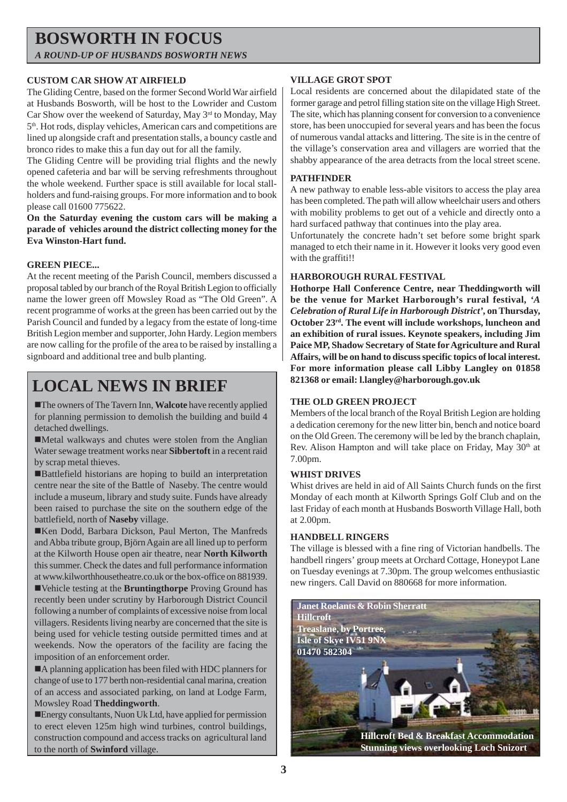## **BOSWORTH IN FOCUS** *A ROUND-UP OF HUSBANDS BOSWORTH NEWS*

### **CUSTOM CAR SHOW AT AIRFIELD**

The Gliding Centre, based on the former Second World War airfield at Husbands Bosworth, will be host to the Lowrider and Custom Car Show over the weekend of Saturday, May 3<sup>rd</sup> to Monday, May 5th. Hot rods, display vehicles, American cars and competitions are lined up alongside craft and presentation stalls, a bouncy castle and bronco rides to make this a fun day out for all the family.

The Gliding Centre will be providing trial flights and the newly opened cafeteria and bar will be serving refreshments throughout the whole weekend. Further space is still available for local stallholders and fund-raising groups. For more information and to book please call 01600 775622.

**On the Saturday evening the custom cars will be making a parade of vehicles around the district collecting money for the Eva Winston-Hart fund.**

### **GREEN PIECE...**

At the recent meeting of the Parish Council, members discussed a proposal tabled by our branch of the Royal British Legion to officially name the lower green off Mowsley Road as "The Old Green". A recent programme of works at the green has been carried out by the Parish Council and funded by a legacy from the estate of long-time British Legion member and supporter, John Hardy. Legion members are now calling for the profile of the area to be raised by installing a signboard and additional tree and bulb planting.

## **LOCAL NEWS IN BRIEF**

!The owners of The Tavern Inn, **Walcote** have recently applied for planning permission to demolish the building and build 4 detached dwellings.

!Metal walkways and chutes were stolen from the Anglian Water sewage treatment works near **Sibbertoft** in a recent raid by scrap metal thieves.

!Battlefield historians are hoping to build an interpretation centre near the site of the Battle of Naseby. The centre would include a museum, library and study suite. Funds have already been raised to purchase the site on the southern edge of the battlefield, north of **Naseby** village.

!Ken Dodd, Barbara Dickson, Paul Merton, The Manfreds and Abba tribute group, Björn Again are all lined up to perform at the Kilworth House open air theatre, near **North Kilworth** this summer. Check the dates and full performance information at www.kilworthhousetheatre.co.uk or the box-office on 881939.

!Vehicle testing at the **Bruntingthorpe** Proving Ground has recently been under scrutiny by Harborough District Council following a number of complaints of excessive noise from local villagers. Residents living nearby are concerned that the site is being used for vehicle testing outside permitted times and at weekends. Now the operators of the facility are facing the imposition of an enforcement order.

!A planning application has been filed with HDC planners for change of use to 177 berth non-residential canal marina, creation of an access and associated parking, on land at Lodge Farm, Mowsley Road **Theddingworth**.

!Energy consultants, Nuon Uk Ltd, have applied for permission to erect eleven 125m high wind turbines, control buildings, construction compound and access tracks on agricultural land to the north of **Swinford** village.

### **VILLAGE GROT SPOT**

Local residents are concerned about the dilapidated state of the former garage and petrol filling station site on the village High Street. The site, which has planning consent for conversion to a convenience store, has been unoccupied for several years and has been the focus of numerous vandal attacks and littering. The site is in the centre of the village's conservation area and villagers are worried that the shabby appearance of the area detracts from the local street scene.

### **PATHFINDER**

A new pathway to enable less-able visitors to access the play area has been completed. The path will allow wheelchair users and others with mobility problems to get out of a vehicle and directly onto a hard surfaced pathway that continues into the play area.

Unfortunately the concrete hadn't set before some bright spark managed to etch their name in it. However it looks very good even with the graffiti!!

### **HARBOROUGH RURAL FESTIVAL**

**Hothorpe Hall Conference Centre, near Theddingworth will be the venue for Market Harborough's rural festival,** *'A Celebration of Rural Life in Harborough District'***, on Thursday, October 23rd. The event will include workshops, luncheon and an exhibition of rural issues. Keynote speakers, including Jim Paice MP, Shadow Secretary of State for Agriculture and Rural Affairs, will be on hand to discuss specific topics of local interest. For more information please call Libby Langley on 01858 821368 or email: l.langley@harborough.gov.uk**

### **THE OLD GREEN PROJECT**

Members of the local branch of the Royal British Legion are holding a dedication ceremony for the new litter bin, bench and notice board on the Old Green. The ceremony will be led by the branch chaplain, Rev. Alison Hampton and will take place on Friday, May 30<sup>th</sup> at 7.00pm.

### **WHIST DRIVES**

Whist drives are held in aid of All Saints Church funds on the first Monday of each month at Kilworth Springs Golf Club and on the last Friday of each month at Husbands Bosworth Village Hall, both at 2.00pm.

### **HANDBELL RINGERS**

The village is blessed with a fine ring of Victorian handbells. The handbell ringers' group meets at Orchard Cottage, Honeypot Lane on Tuesday evenings at 7.30pm. The group welcomes enthusiastic new ringers. Call David on 880668 for more information.

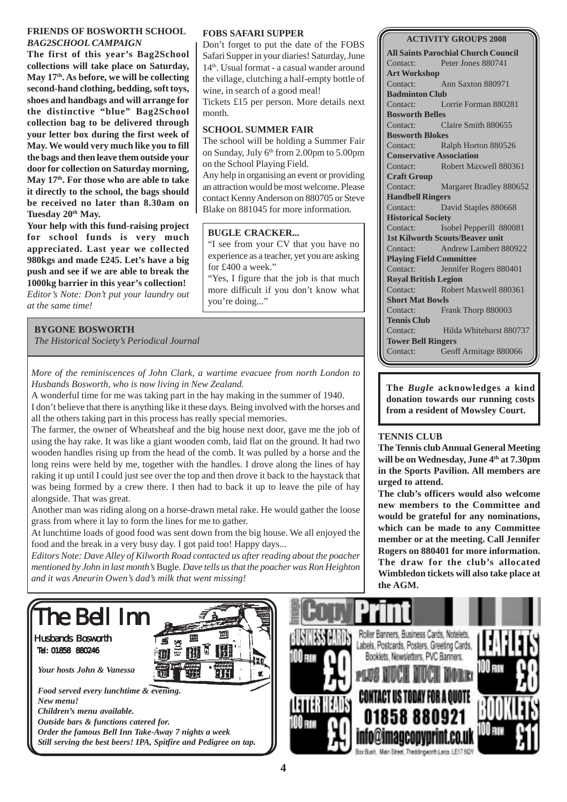### **FRIENDS OF BOSWORTH SCHOOL** *BAG2SCHOOL CAMPAIGN*

**The first of this year's Bag2School collections will take place on Saturday, May 17th. As before, we will be collecting second-hand clothing, bedding, soft toys, shoes and handbags and will arrange for the distinctive "blue" Bag2School collection bag to be delivered through your letter box during the first week of May. We would very much like you to fill the bags and then leave them outside your door for collection on Saturday morning, May 17th. For those who are able to take it directly to the school, the bags should be received no later than 8.30am on** Tuesday 20<sup>th</sup> May.

**Your help with this fund-raising project for school funds is very much appreciated. Last year we collected 980kgs and made £245. Let's have a big push and see if we are able to break the 1000kg barrier in this year's collection!** *Editor's Note: Don't put your laundry out at the same time!*

### **BYGONE BOSWORTH**

*The Historical Society's Periodical Journal*

*More of the reminiscences of John Clark, a wartime evacuee from north London to Husbands Bosworth, who is now living in New Zealand.*

A wonderful time for me was taking part in the hay making in the summer of 1940. I don't believe that there is anything like it these days. Being involved with the horses and all the others taking part in this process has really special memories.

The farmer, the owner of Wheatsheaf and the big house next door, gave me the job of using the hay rake. It was like a giant wooden comb, laid flat on the ground. It had two wooden handles rising up from the head of the comb. It was pulled by a horse and the long reins were held by me, together with the handles. I drove along the lines of hay raking it up until I could just see over the top and then drove it back to the haystack that was being formed by a crew there. I then had to back it up to leave the pile of hay alongside. That was great.

Another man was riding along on a horse-drawn metal rake. He would gather the loose grass from where it lay to form the lines for me to gather.

At lunchtime loads of good food was sent down from the big house. We all enjoyed the food and the break in a very busy day. I got paid too! Happy days...

*Editors Note: Dave Alley of Kilworth Road contacted us after reading about the poacher mentioned by John in last month's* Bugle*. Dave tells us that the poacher was Ron Heighton and it was Aneurin Owen's dad's milk that went missing!*

### **FOBS SAFARI SUPPER**

Don't forget to put the date of the FOBS Safari Supper in your diaries! Saturday, June 14th. Usual format - a casual wander around the village, clutching a half-empty bottle of wine, in search of a good meal! Tickets £15 per person. More details next month.

### **SCHOOL SUMMER FAIR**

The school will be holding a Summer Fair on Sunday, July  $6<sup>th</sup>$  from 2.00pm to 5.00pm on the School Playing Field.

Any help in organising an event or providing an attraction would be most welcome. Please contact Kenny Anderson on 880705 or Steve Blake on 881045 for more information.

### **BUGLE CRACKER...**

"I see from your CV that you have no experience as a teacher, yet you are asking for £400 a week."

"Yes, I figure that the job is that much more difficult if you don't know what you're doing..."

### **ACTIVITY GROUPS 2008**

**All Saints Parochial Church Council** Contact: Peter Jones 880741 **Art Workshop** Contact: Ann Saxton 880971 **Badminton Club** Contact: Lorrie Forman 880281 **Bosworth Belles** Contact: Claire Smith 880655 **Bosworth Blokes** Contact: Ralph Horton 880526 **Conservative Association** Contact: Robert Maxwell 880361 **Craft Group** Contact: Margaret Bradley 880652 **Handbell Ringers** Contact: David Staples 880668 **Historical Society** Contact: Isobel Pepperill 880081 **1st Kilworth Scouts/Beaver unit** Contact: Andrew Lambert 880922 **Playing Field Committee** Contact: Jennifer Rogers 880401 **Royal British Legion** Contact: Robert Maxwell 880361 **Short Mat Bowls** Contact: Frank Thorp 880003 **Tennis Club** Contact: Hilda Whitehurst 880737 **Tower Bell Ringers** Contact: Geoff Armitage 880066

**The** *Bugle* **acknowledges a kind donation towards our running costs from a resident of Mowsley Court.**

### **TENNIS CLUB**

**The Tennis club Annual General Meeting will be on Wednesday, June 4th at 7.30pm in the Sports Pavilion. All members are urged to attend.**

**The club's officers would also welcome new members to the Committee and would be grateful for any nominations, which can be made to any Committee member or at the meeting. Call Jennifer Rogers on 880401 for more information. The draw for the club's allocated Wimbledon tickets will also take place at the AGM.**

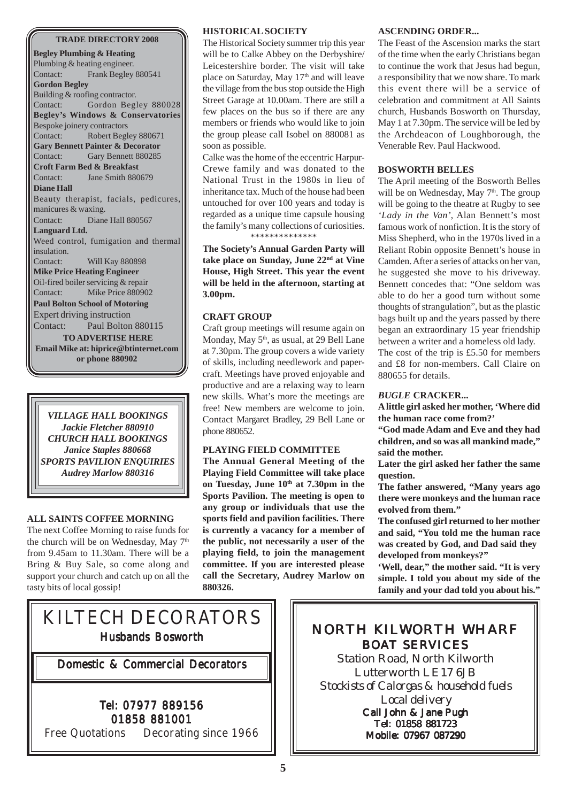### **TRADE DIRECTORY 2008**

**Begley Plumbing & Heating** Plumbing & heating engineer. Contact: Frank Begley 880541 **Gordon Begley** Building & roofing contractor. Contact: Gordon Begley 880028 **Begley's Windows & Conservatories** Bespoke joinery contractors Contact: Robert Begley 880671 **Gary Bennett Painter & Decorator** Contact: Gary Bennett 880285 **Croft Farm Bed & Breakfast** Contact: Jane Smith 880679 **Diane Hall** Beauty therapist, facials, pedicures, manicures & waxing. Contact: Diane Hall 880567 **Languard Ltd.** Weed control, fumigation and thermal insulation. Contact: Will Kay 880898 **Mike Price Heating Engineer** Oil-fired boiler servicing & repair Contact: Mike Price 880902 **Paul Bolton School of Motoring** Expert driving instruction Contact: Paul Bolton 880115 **TO ADVERTISE HERE Email Mike at: hiprice@btinternet.com or phone 880902**

*VILLAGE HALL BOOKINGS Jackie Fletcher 880910 CHURCH HALL BOOKINGS Janice Staples 880668 SPORTS PAVILION ENQUIRIES Audrey Marlow 880316*

### **ALL SAINTS COFFEE MORNING**

The next Coffee Morning to raise funds for the church will be on Wednesday, May 7<sup>th</sup> from 9.45am to 11.30am. There will be a Bring & Buy Sale, so come along and support your church and catch up on all the tasty bits of local gossip!

### **HISTORICAL SOCIETY**

The Historical Society summer trip this year will be to Calke Abbey on the Derbyshire/ Leicestershire border. The visit will take place on Saturday, May  $17<sup>th</sup>$  and will leave the village from the bus stop outside the High Street Garage at 10.00am. There are still a few places on the bus so if there are any members or friends who would like to join the group please call Isobel on 880081 as soon as possible.

Calke was the home of the eccentric Harpur-Crewe family and was donated to the National Trust in the 1980s in lieu of inheritance tax. Much of the house had been untouched for over 100 years and today is regarded as a unique time capsule housing the family's many collections of curiosities. \*\*\*\*\*\*\*\*\*\*\*\*\*\*

**The Society's Annual Garden Party will take place on Sunday, June 22nd at Vine House, High Street. This year the event will be held in the afternoon, starting at 3.00pm.**

### **CRAFT GROUP**

Craft group meetings will resume again on Monday, May  $5<sup>th</sup>$ , as usual, at 29 Bell Lane at 7.30pm. The group covers a wide variety of skills, including needlework and papercraft. Meetings have proved enjoyable and productive and are a relaxing way to learn new skills. What's more the meetings are free! New members are welcome to join. Contact Margaret Bradley, 29 Bell Lane or phone 880652.

### **PLAYING FIELD COMMITTEE**

**The Annual General Meeting of the Playing Field Committee will take place on Tuesday, June 10th at 7.30pm in the Sports Pavilion. The meeting is open to any group or individuals that use the sports field and pavilion facilities. There is currently a vacancy for a member of the public, not necessarily a user of the playing field, to join the management committee. If you are interested please call the Secretary, Audrey Marlow on 880326.**

### **ASCENDING ORDER...**

The Feast of the Ascension marks the start of the time when the early Christians began to continue the work that Jesus had begun, a responsibility that we now share. To mark this event there will be a service of celebration and commitment at All Saints church, Husbands Bosworth on Thursday, May 1 at 7.30pm. The service will be led by the Archdeacon of Loughborough, the Venerable Rev. Paul Hackwood.

### **BOSWORTH BELLES**

The April meeting of the Bosworth Belles will be on Wednesday, May  $7<sup>th</sup>$ . The group will be going to the theatre at Rugby to see *'Lady in the Van'*, Alan Bennett's most famous work of nonfiction. It is the story of Miss Shepherd, who in the 1970s lived in a Reliant Robin opposite Bennett's house in Camden. After a series of attacks on her van, he suggested she move to his driveway. Bennett concedes that: "One seldom was able to do her a good turn without some thoughts of strangulation", but as the plastic bags built up and the years passed by there began an extraordinary 15 year friendship between a writer and a homeless old lady. The cost of the trip is £5.50 for members

and £8 for non-members. Call Claire on 880655 for details.

### *BUGLE* **CRACKER...**

**A little girl asked her mother, 'Where did the human race come from?'**

**"God made Adam and Eve and they had children, and so was all mankind made," said the mother.**

**Later the girl asked her father the same question.**

**The father answered, "Many years ago there were monkeys and the human race evolved from them."**

**The confused girl returned to her mother and said, "You told me the human race was created by God, and Dad said they developed from monkeys?"**

**'Well, dear," the mother said. "It is very simple. I told you about my side of the family and your dad told you about his."**

## KILTECH DECORATORS Husbands Bosworth

Domestic & Commercial Decorators

### Tel: 07977 889156 01858 881001

Free Quotations Decorating since 1966

## NORTH KILWORTH WHARF BOAT SERVICES

Station Road, North Kilworth Lutterworth LE17 6JB *Stockists of Calorgas & household fuels Local delivery*

Call John & Jane Pugh Tel: 01858 881723 Mobile: 07967 087290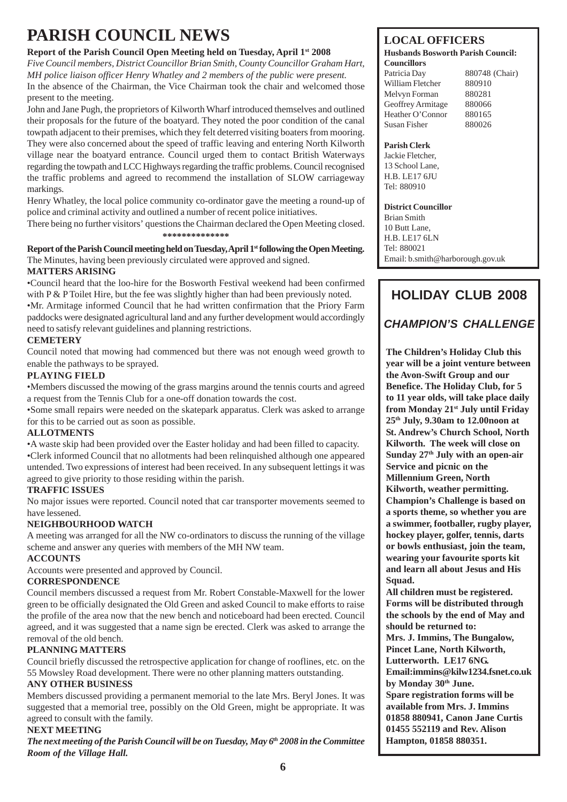## **PARISH COUNCIL NEWS**

### **Report of the Parish Council Open Meeting held on Tuesday, April 1st 2008**

*Five Council members, District Councillor Brian Smith, County Councillor Graham Hart, MH police liaison officer Henry Whatley and 2 members of the public were present.* In the absence of the Chairman, the Vice Chairman took the chair and welcomed those present to the meeting.

John and Jane Pugh, the proprietors of Kilworth Wharf introduced themselves and outlined their proposals for the future of the boatyard. They noted the poor condition of the canal towpath adjacent to their premises, which they felt deterred visiting boaters from mooring. They were also concerned about the speed of traffic leaving and entering North Kilworth village near the boatyard entrance. Council urged them to contact British Waterways regarding the towpath and LCC Highways regarding the traffic problems. Council recognised the traffic problems and agreed to recommend the installation of SLOW carriageway markings.

Henry Whatley, the local police community co-ordinator gave the meeting a round-up of police and criminal activity and outlined a number of recent police initiatives.

There being no further visitors' questions the Chairman declared the Open Meeting closed. **\*\*\*\*\*\*\*\*\*\*\*\*\*\***

### **Report of the Parish Council meeting held on Tuesday, April 1st following the Open Meeting.** The Minutes, having been previously circulated were approved and signed. **MATTERS ARISING**

•Council heard that the loo-hire for the Bosworth Festival weekend had been confirmed with P & P Toilet Hire, but the fee was slightly higher than had been previously noted. •Mr. Armitage informed Council that he had written confirmation that the Priory Farm

paddocks were designated agricultural land and any further development would accordingly need to satisfy relevant guidelines and planning restrictions.

### **CEMETERY**

Council noted that mowing had commenced but there was not enough weed growth to enable the pathways to be sprayed.

### **PLAYING FIELD**

•Members discussed the mowing of the grass margins around the tennis courts and agreed a request from the Tennis Club for a one-off donation towards the cost.

•Some small repairs were needed on the skatepark apparatus. Clerk was asked to arrange for this to be carried out as soon as possible.

### **ALLOTMENTS**

•A waste skip had been provided over the Easter holiday and had been filled to capacity. •Clerk informed Council that no allotments had been relinquished although one appeared untended. Two expressions of interest had been received. In any subsequent lettings it was agreed to give priority to those residing within the parish.

### **TRAFFIC ISSUES**

No major issues were reported. Council noted that car transporter movements seemed to have lessened.

### **NEIGHBOURHOOD WATCH**

A meeting was arranged for all the NW co-ordinators to discuss the running of the village scheme and answer any queries with members of the MH NW team.

### **ACCOUNTS**

Accounts were presented and approved by Council.

### **CORRESPONDENCE**

Council members discussed a request from Mr. Robert Constable-Maxwell for the lower green to be officially designated the Old Green and asked Council to make efforts to raise the profile of the area now that the new bench and noticeboard had been erected. Council agreed, and it was suggested that a name sign be erected. Clerk was asked to arrange the removal of the old bench.

### **PLANNING MATTERS**

Council briefly discussed the retrospective application for change of rooflines, etc. on the 55 Mowsley Road development. There were no other planning matters outstanding.

### **ANY OTHER BUSINESS**

Members discussed providing a permanent memorial to the late Mrs. Beryl Jones. It was suggested that a memorial tree, possibly on the Old Green, might be appropriate. It was agreed to consult with the family.

### **NEXT MEETING**

*The next meeting of the Parish Council will be on Tuesday, May 6th 2008 in the Committee Room of the Village Hall.*

### **LOCAL OFFICERS**

#### **Husbands Bosworth Parish Council: Councillors**

Patricia Day 880748 (Chair) William Fletcher 880910 Melvyn Forman 880281 Geoffrey Armitage 880066 Heather O'Connor 880165 Susan Fisher 880026

### **Parish Clerk**

Jackie Fletcher, 13 School Lane, H.B. LE17 6JU Tel: 880910

### **District Councillor**

Brian Smith 10 Butt Lane, H.B. LE17 6LN Tel: 880021 Email: b.smith@harborough.gov.uk

## **HOLIDAY CLUB 2008**

## *CHAMPION'S CHALLENGE*

**The Children's Holiday Club this year will be a joint venture between the Avon-Swift Group and our Benefice. The Holiday Club, for 5 to 11 year olds, will take place daily from Monday 21st July until Friday 25th July, 9.30am to 12.00noon at St. Andrew's Church School, North Kilworth. The week will close on Sunday 27th July with an open-air Service and picnic on the Millennium Green, North Kilworth, weather permitting. Champion's Challenge is based on a sports theme, so whether you are a swimmer, footballer, rugby player, hockey player, golfer, tennis, darts or bowls enthusiast, join the team, wearing your favourite sports kit and learn all about Jesus and His Squad.**

**All children must be registered. Forms will be distributed through the schools by the end of May and should be returned to:**

**Mrs. J. Immins, The Bungalow, Pincet Lane, North Kilworth, Lutterworth. LE17 6NG. Email:immins@kilw1234.fsnet.co.uk by Monday 30th June. Spare registration forms will be available from Mrs. J. Immins 01858 880941, Canon Jane Curtis**

**01455 552119 and Rev. Alison Hampton, 01858 880351.**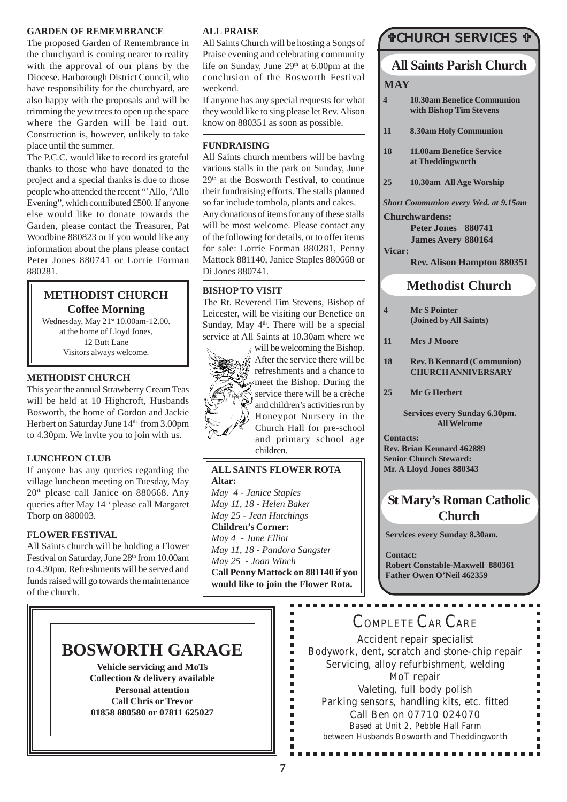### **GARDEN OF REMEMBRANCE**

The proposed Garden of Remembrance in the churchyard is coming nearer to reality with the approval of our plans by the Diocese. Harborough District Council, who have responsibility for the churchyard, are also happy with the proposals and will be trimming the yew trees to open up the space where the Garden will be laid out. Construction is, however, unlikely to take place until the summer.

The P.C.C. would like to record its grateful thanks to those who have donated to the project and a special thanks is due to those people who attended the recent "'Allo, 'Allo Evening", which contributed £500. If anyone else would like to donate towards the Garden, please contact the Treasurer, Pat Woodbine 880823 or if you would like any information about the plans please contact Peter Jones 880741 or Lorrie Forman 880281.

### **METHODIST CHURCH Coffee Morning**

Wednesday, May 21<sup>st</sup> 10.00am-12.00. at the home of Lloyd Jones, 12 Butt Lane Visitors always welcome.

### **METHODIST CHURCH**

This year the annual Strawberry Cream Teas will be held at 10 Highcroft, Husbands Bosworth, the home of Gordon and Jackie Herbert on Saturday June 14<sup>th</sup> from 3.00pm to 4.30pm. We invite you to join with us.

### **LUNCHEON CLUB**

If anyone has any queries regarding the village luncheon meeting on Tuesday, May 20th please call Janice on 880668. Any queries after May 14<sup>th</sup> please call Margaret Thorp on 880003.

### **FLOWER FESTIVAL**

All Saints church will be holding a Flower Festival on Saturday, June 28<sup>th</sup> from 10.00am to 4.30pm. Refreshments will be served and funds raised will go towards the maintenance of the church.

### **ALL PRAISE**

All Saints Church will be hosting a Songs of Praise evening and celebrating community life on Sunday, June 29<sup>th</sup> at 6.00pm at the conclusion of the Bosworth Festival weekend.

If anyone has any special requests for what they would like to sing please let Rev. Alison know on 880351 as soon as possible.

### **FUNDRAISING**

All Saints church members will be having various stalls in the park on Sunday, June 29th at the Bosworth Festival, to continue their fundraising efforts. The stalls planned so far include tombola, plants and cakes. Any donations of items for any of these stalls will be most welcome. Please contact any of the following for details, or to offer items for sale: Lorrie Forman 880281, Penny Mattock 881140, Janice Staples 880668 or Di Jones 880741.

### **BISHOP TO VISIT**

The Rt. Reverend Tim Stevens, Bishop of Leicester, will be visiting our Benefice on Sunday, May 4<sup>th</sup>. There will be a special service at All Saints at 10.30am where we



 $\frac{1}{4}$  After the service there will be refreshments and a chance to  $\neq$  meet the Bishop. During the service there will be a crèche and children's activities run by Honeypot Nursery in the Church Hall for pre-school and primary school age children.

will be welcoming the Bishop.

### **ALL SAINTS FLOWER ROTA Altar:**

*May 4 - Janice Staples May 11, 18 - Helen Baker May 25 - Jean Hutchings* **Children's Corner:** *May 4 - June Elliot May 11, 18 - Pandora Sangster May 25 - Joan Winch* **Call Penny Mattock on 881140 if you would like to join the Flower Rota.**

> É Î.  $\blacksquare$ Ė

> Ė F I.  $\blacksquare$ Е × Ė  $\blacksquare$ Ė

## **TCHURCH SERVICES T**

## **All Saints Parish Church**

### **MAY**

- **4 10.30am Benefice Communion with Bishop Tim Stevens**
- **11 8.30am Holy Communion**
- **18 11.00am Benefice Service at Theddingworth**
- **25 10.30am All Age Worship**

*Short Communion every Wed. at 9.15am* **Churchwardens:**

**Peter Jones 880741 James Avery 880164**

**Vicar:**

**Rev. Alison Hampton 880351**

### **Methodist Church**

**4 Mr S Pointer (Joined by All Saints)**

**11 Mrs J Moore**

- **18 Rev. B Kennard (Communion) CHURCH ANNIVERSARY**
- **25 Mr G Herbert**

**Services every Sunday 6.30pm. All Welcome**

**Contacts: Rev. Brian Kennard 462889 Senior Church Steward: Mr. A Lloyd Jones 880343**

## **St Mary's Roman Catholic Church**

**Services every Sunday 8.30am.**

**Contact: Robert Constable-Maxwell 880361 Father Owen O'Neil 462359**

## **BOSWORTH GARAGE**

**Vehicle servicing and MoTs Collection & delivery available Personal attention Call Chris or Trevor 01858 880580 or 07811 625027**

## COMPLETE CAR CARE

Accident repair specialist Bodywork, dent, scratch and stone-chip repair Servicing, alloy refurbishment, welding MoT repair Valeting, full body polish Parking sensors, handling kits, etc. fitted Call Ben on 07710 024070 Based at Unit 2, Pebble Hall Farm between Husbands Bosworth and Theddingworth

............